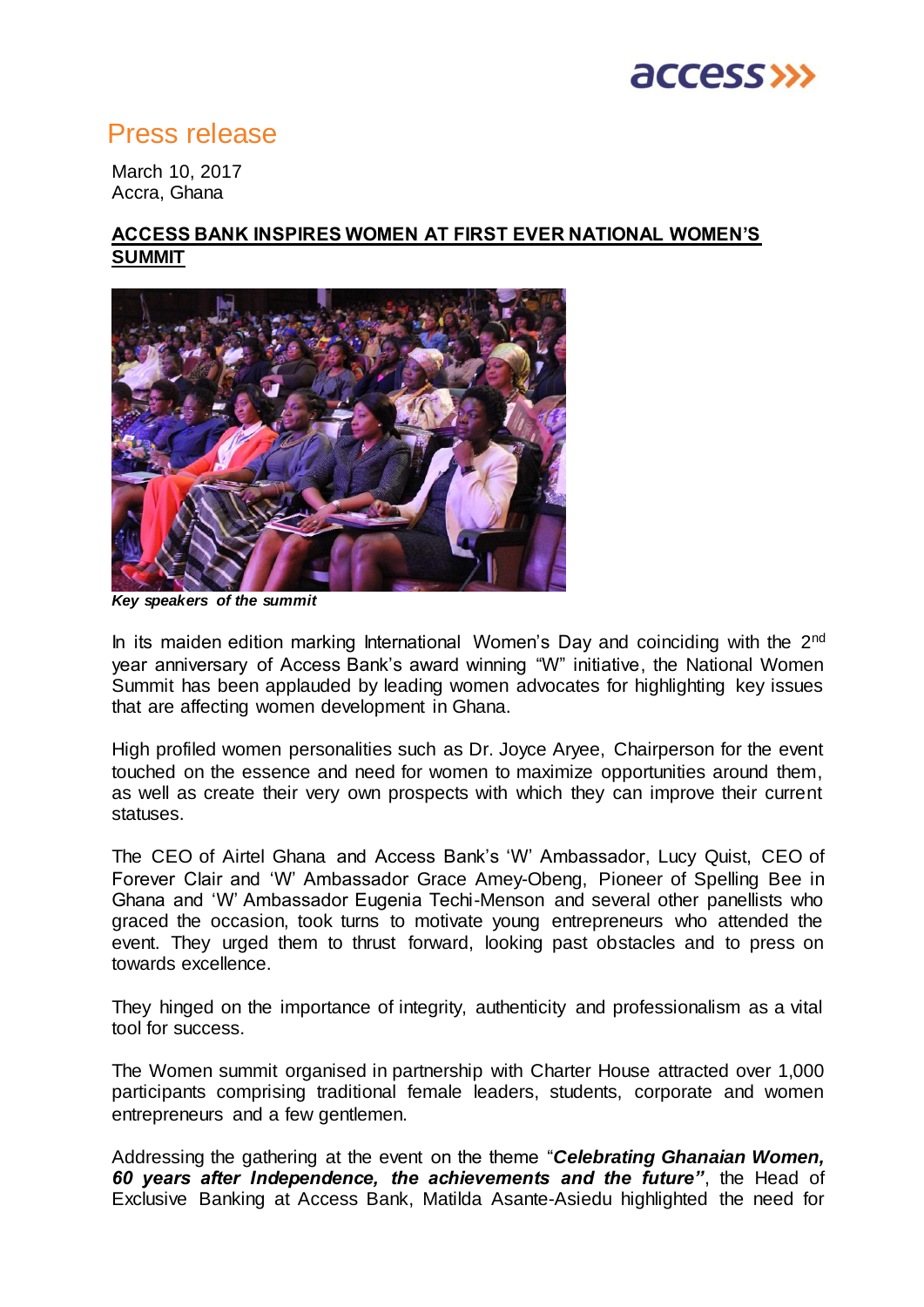

## Press release

March 10, 2017 Accra, Ghana

### **ACCESS BANK INSPIRES WOMEN AT FIRST EVER NATIONAL WOMEN'S SUMMIT**



*Key speakers of the summit* 

In its maiden edition marking International Women's Day and coinciding with the 2<sup>nd</sup> year anniversary of Access Bank's award winning "W" initiative, the National Women Summit has been applauded by leading women advocates for highlighting key issues that are affecting women development in Ghana.

High profiled women personalities such as Dr. Joyce Aryee, Chairperson for the event touched on the essence and need for women to maximize opportunities around them, as well as create their very own prospects with which they can improve their current statuses.

The CEO of Airtel Ghana and Access Bank's 'W' Ambassador, Lucy Quist, CEO of Forever Clair and 'W' Ambassador Grace Amey-Obeng, Pioneer of Spelling Bee in Ghana and 'W' Ambassador Eugenia Techi-Menson and several other panellists who graced the occasion, took turns to motivate young entrepreneurs who attended the event. They urged them to thrust forward, looking past obstacles and to press on towards excellence.

They hinged on the importance of integrity, authenticity and professionalism as a vital tool for success.

The Women summit organised in partnership with Charter House attracted over 1,000 participants comprising traditional female leaders, students, corporate and women entrepreneurs and a few gentlemen.

Addressing the gathering at the event on the theme "*Celebrating Ghanaian Women, 60 years after Independence, the achievements and the future"*, the Head of Exclusive Banking at Access Bank, Matilda Asante-Asiedu highlighted the need for